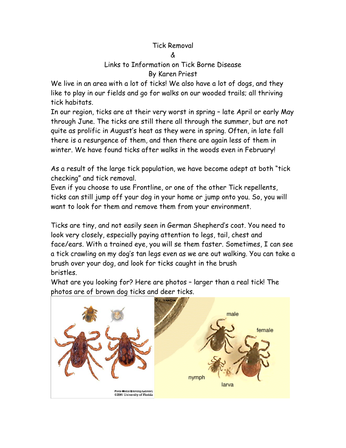## Tick Removal

## &

## Links to Information on Tick Borne Disease By Karen Priest

We live in an area with a lot of ticks! We also have a lot of dogs, and they like to play in our fields and go for walks on our wooded trails; all thriving tick habitats.

In our region, ticks are at their very worst in spring – late April or early May through June. The ticks are still there all through the summer, but are not quite as prolific in August's heat as they were in spring. Often, in late fall there is a resurgence of them, and then there are again less of them in winter. We have found ticks after walks in the woods even in February!

As a result of the large tick population, we have become adept at both "tick checking" and tick removal.

Even if you choose to use Frontline, or one of the other Tick repellents, ticks can still jump off your dog in your home or jump onto you. So, you will want to look for them and remove them from your environment.

Ticks are tiny, and not easily seen in German Shepherd's coat. You need to look very closely, especially paying attention to legs, tail, chest and face/ears. With a trained eye, you will se them faster. Sometimes, I can see a tick crawling on my dog's tan legs even as we are out walking. You can take a brush over your dog, and look for ticks caught in the brush bristles.

What are you looking for? Here are photos – larger than a real tick! The photos are of brown dog ticks and deer ticks.

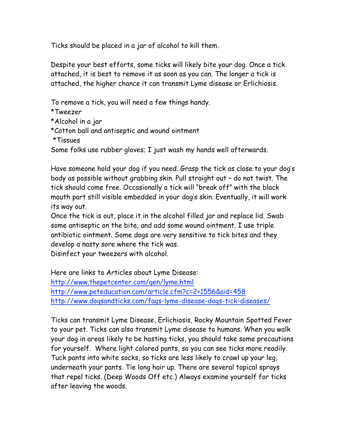Ticks should be placed in a jar of alcohol to kill them.

Despite your best efforts, some ticks will likely bite your dog. Once a tick attached, it is best to remove it as soon as you can. The longer a tick is attached, the higher chance it can transmit Lyme disease or Erlichiosis.

To remove a tick, you will need a few things handy.

\*Tweezer

\*Alcohol in a jar

\*Cotton ball and antiseptic and wound ointment

\*Tissues

Some folks use rubber gloves; I just wash my hands well afterwards.

Have someone hold your dog if you need. Grasp the tick as close to your dog's body as possible without grabbing skin. Pull straight out – do not twist. The tick should come free. Occasionally a tick will "break off" with the black mouth part still visible embedded in your dog's skin. Eventually, it will work its way out.

Once the tick is out, place it in the alcohol filled jar and replace lid. Swab some antiseptic on the bite, and add some wound ointment. I use triple antibiotic ointment. Some dogs are very sensitive to tick bites and they develop a nasty sore where the tick was.

Disinfect your tweezers with alcohol.

Here are links to Articles about Lyme Disease: http://www.thepetcenter.com/gen/lyme.html http://www.peteducation.com/article.cfm?c=2+1556&aid=458 http://www.dogsandticks.com/faqs-lyme-disease-dogs-tick-diseases/

Ticks can transmit Lyme Disease, Erlichiosis, Rocky Mountain Spotted Fever to your pet. Ticks can also transmit Lyme disease to humans. When you walk your dog in areas likely to be hosting ticks, you should take some precautions for yourself. Where light colored pants, so you can see ticks more readily. Tuck pants into white socks, so ticks are less likely to crawl up your leg, underneath your pants. Tie long hair up. There are several topical sprays that repel ticks. (Deep Woods Off etc.) Always examine yourself for ticks after leaving the woods.